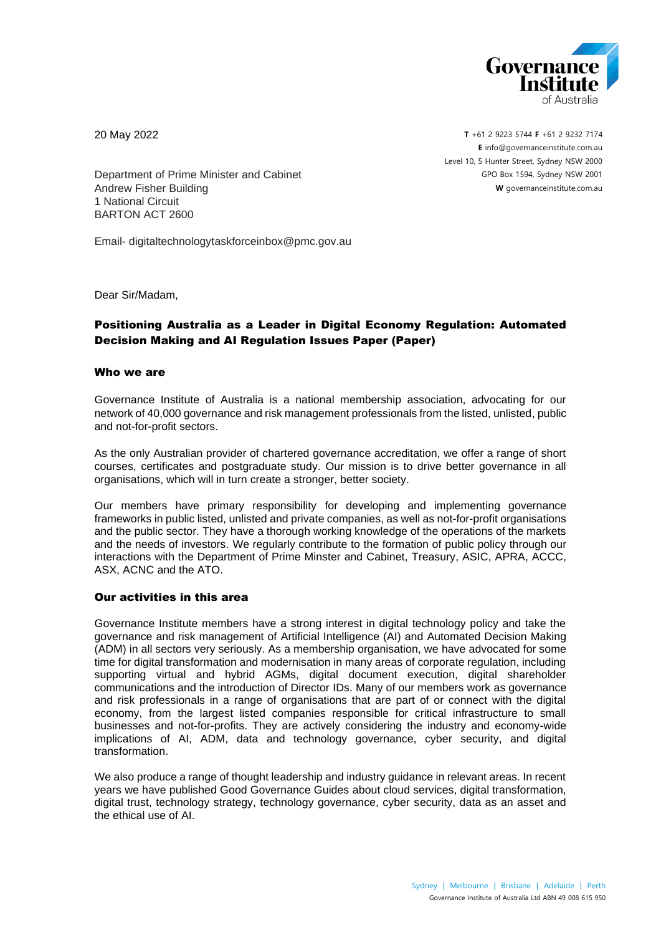

20 May 2022

**T** +61 2 9223 5744 **F** +61 2 9232 7174 **E** [info@governanceinstitute.com.au](mailto:info@governanceinstitute.com.au) Level 10, 5 Hunter Street, Sydney NSW 2000 GPO Box 1594, Sydney NSW 2001 **W** governanceinstitute.com.au

Department of Prime Minister and Cabinet Andrew Fisher Building 1 National Circuit BARTON ACT 2600

Email- digitaltechnologytaskforceinbox@pmc.gov.au

Dear Sir/Madam,

# Positioning Australia as a Leader in Digital Economy Regulation: Automated Decision Making and AI Regulation Issues Paper (Paper)

## Who we are

Governance Institute of Australia is a national membership association, advocating for our network of 40,000 governance and risk management professionals from the listed, unlisted, public and not-for-profit sectors.

As the only Australian provider of chartered governance accreditation, we offer a range of short courses, certificates and postgraduate study. Our mission is to drive better governance in all organisations, which will in turn create a stronger, better society.

Our members have primary responsibility for developing and implementing governance frameworks in public listed, unlisted and private companies, as well as not-for-profit organisations and the public sector. They have a thorough working knowledge of the operations of the markets and the needs of investors. We regularly contribute to the formation of public policy through our interactions with the Department of Prime Minster and Cabinet, Treasury, ASIC, APRA, ACCC, ASX, ACNC and the ATO.

### Our activities in this area

Governance Institute members have a strong interest in digital technology policy and take the governance and risk management of Artificial Intelligence (AI) and Automated Decision Making (ADM) in all sectors very seriously. As a membership organisation, we have advocated for some time for digital transformation and modernisation in many areas of corporate regulation, including supporting virtual and hybrid AGMs, digital document execution, digital shareholder communications and the introduction of Director IDs. Many of our members work as governance and risk professionals in a range of organisations that are part of or connect with the digital economy, from the largest listed companies responsible for critical infrastructure to small businesses and not-for-profits. They are actively considering the industry and economy-wide implications of AI, ADM, data and technology governance, cyber security, and digital transformation.

We also produce a range of thought leadership and industry guidance in relevant areas. In recent years we have published Good Governance Guides about cloud services, digital transformation, digital trust, technology strategy, technology governance, cyber security, data as an asset and the ethical use of AI.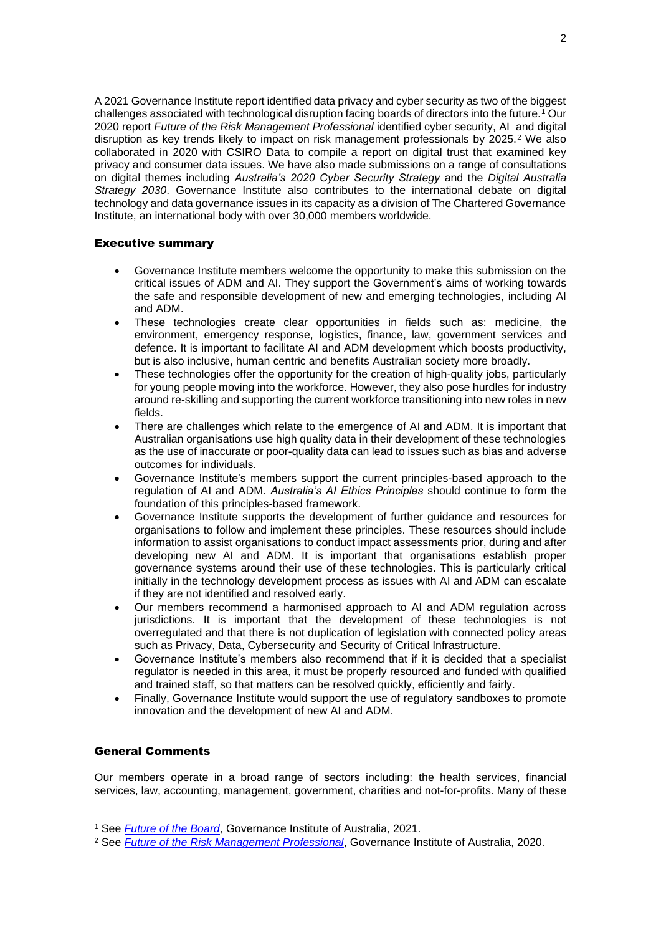A 2021 Governance Institute report identified data privacy and cyber security as two of the biggest challenges associated with technological disruption facing boards of directors into the future.<sup>1</sup> Our 2020 report *Future of the Risk Management Professional* identified cyber security, AI and digital disruption as key trends likely to impact on risk management professionals by 2025.<sup>2</sup> We also collaborated in 2020 with CSIRO Data to compile a report on digital trust that examined key privacy and consumer data issues. We have also made submissions on a range of consultations on digital themes including *Australia's 2020 Cyber Security Strategy* and the *Digital Australia Strategy 2030*. Governance Institute also contributes to the international debate on digital technology and data governance issues in its capacity as a division of The Chartered Governance Institute, an international body with over 30,000 members worldwide.

## Executive summary

- Governance Institute members welcome the opportunity to make this submission on the critical issues of ADM and AI. They support the Government's aims of working towards the safe and responsible development of new and emerging technologies, including AI and ADM.
- These technologies create clear opportunities in fields such as: medicine, the environment, emergency response, logistics, finance, law, government services and defence. It is important to facilitate AI and ADM development which boosts productivity, but is also inclusive, human centric and benefits Australian society more broadly.
- These technologies offer the opportunity for the creation of high-quality jobs, particularly for young people moving into the workforce. However, they also pose hurdles for industry around re-skilling and supporting the current workforce transitioning into new roles in new fields.
- There are challenges which relate to the emergence of AI and ADM. It is important that Australian organisations use high quality data in their development of these technologies as the use of inaccurate or poor-quality data can lead to issues such as bias and adverse outcomes for individuals.
- Governance Institute's members support the current principles-based approach to the regulation of AI and ADM. *Australia's AI Ethics Principles* should continue to form the foundation of this principles-based framework.
- Governance Institute supports the development of further guidance and resources for organisations to follow and implement these principles. These resources should include information to assist organisations to conduct impact assessments prior, during and after developing new AI and ADM. It is important that organisations establish proper governance systems around their use of these technologies. This is particularly critical initially in the technology development process as issues with AI and ADM can escalate if they are not identified and resolved early.
- Our members recommend a harmonised approach to AI and ADM regulation across jurisdictions. It is important that the development of these technologies is not overregulated and that there is not duplication of legislation with connected policy areas such as Privacy, Data, Cybersecurity and Security of Critical Infrastructure.
- Governance Institute's members also recommend that if it is decided that a specialist regulator is needed in this area, it must be properly resourced and funded with qualified and trained staff, so that matters can be resolved quickly, efficiently and fairly.
- Finally, Governance Institute would support the use of regulatory sandboxes to promote innovation and the development of new AI and ADM.

# General Comments

Our members operate in a broad range of sectors including: the health services, financial services, law, accounting, management, government, charities and not-for-profits. Many of these

<sup>1</sup> See *[Future of the Board](https://www.governanceinstitute.com.au/advocacy/survey-reports/future-of-the-board-report/)*, Governance Institute of Australia, 2021.

<sup>2</sup> See *[Future of the Risk Management Professional](https://www.governanceinstitute.com.au/advocacy/survey-reports/future-of-the-risk-management-professional/)*, Governance Institute of Australia, 2020.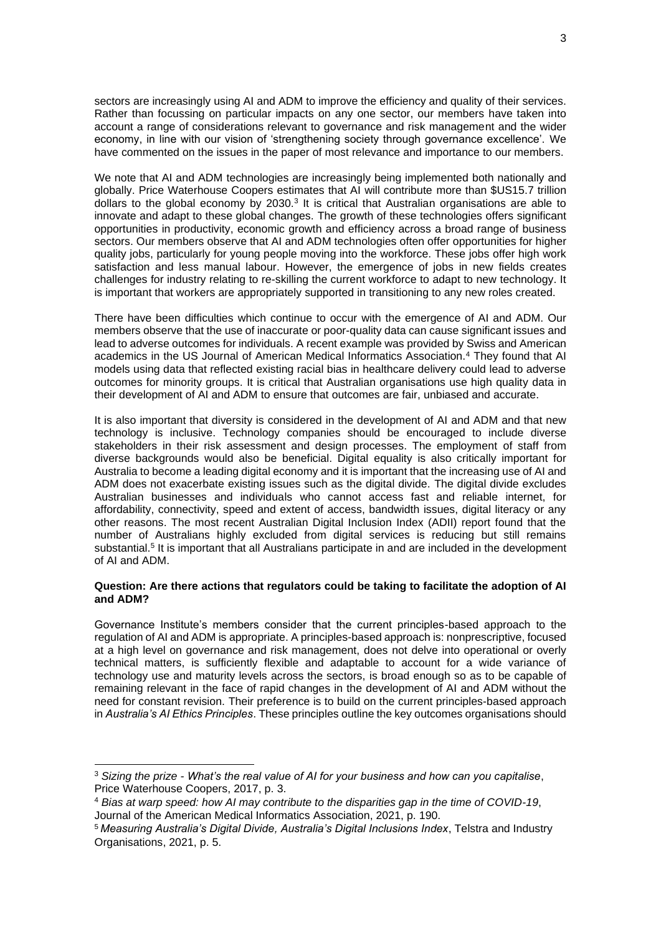sectors are increasingly using AI and ADM to improve the efficiency and quality of their services. Rather than focussing on particular impacts on any one sector, our members have taken into account a range of considerations relevant to governance and risk management and the wider economy, in line with our vision of 'strengthening society through governance excellence'. We have commented on the issues in the paper of most relevance and importance to our members.

We note that AI and ADM technologies are increasingly being implemented both nationally and globally. Price Waterhouse Coopers estimates that AI will contribute more than \$US15.7 trillion dollars to the global economy by  $2030<sup>3</sup>$  It is critical that Australian organisations are able to innovate and adapt to these global changes. The growth of these technologies offers significant opportunities in productivity, economic growth and efficiency across a broad range of business sectors. Our members observe that AI and ADM technologies often offer opportunities for higher quality jobs, particularly for young people moving into the workforce. These jobs offer high work satisfaction and less manual labour. However, the emergence of jobs in new fields creates challenges for industry relating to re-skilling the current workforce to adapt to new technology. It is important that workers are appropriately supported in transitioning to any new roles created.

There have been difficulties which continue to occur with the emergence of AI and ADM. Our members observe that the use of inaccurate or poor-quality data can cause significant issues and lead to adverse outcomes for individuals. A recent example was provided by Swiss and American academics in the US Journal of American Medical Informatics Association.<sup>4</sup> They found that AI models using data that reflected existing racial bias in healthcare delivery could lead to adverse outcomes for minority groups. It is critical that Australian organisations use high quality data in their development of AI and ADM to ensure that outcomes are fair, unbiased and accurate.

It is also important that diversity is considered in the development of AI and ADM and that new technology is inclusive. Technology companies should be encouraged to include diverse stakeholders in their risk assessment and design processes. The employment of staff from diverse backgrounds would also be beneficial. Digital equality is also critically important for Australia to become a leading digital economy and it is important that the increasing use of AI and ADM does not exacerbate existing issues such as the digital divide. The digital divide excludes Australian businesses and individuals who cannot access fast and reliable internet, for affordability, connectivity, speed and extent of access, bandwidth issues, digital literacy or any other reasons. The most recent Australian Digital Inclusion Index (ADII) report found that the number of Australians highly excluded from digital services is reducing but still remains substantial.<sup>5</sup> It is important that all Australians participate in and are included in the development of AI and ADM.

### **Question: Are there actions that regulators could be taking to facilitate the adoption of AI and ADM?**

Governance Institute's members consider that the current principles-based approach to the regulation of AI and ADM is appropriate. A principles-based approach is: nonprescriptive, focused at a high level on governance and risk management, does not delve into operational or overly technical matters, is sufficiently flexible and adaptable to account for a wide variance of technology use and maturity levels across the sectors, is broad enough so as to be capable of remaining relevant in the face of rapid changes in the development of AI and ADM without the need for constant revision. Their preference is to build on the current principles-based approach in *Australia's AI Ethics Principles*. These principles outline the key outcomes organisations should

<sup>3</sup> *Sizing the prize - What's the real value of AI for your business and how can you capitalise*, Price Waterhouse Coopers, 2017, p. 3.

<sup>4</sup> *Bias at warp speed: how AI may contribute to the disparities gap in the time of COVID-19*, Journal of the American Medical Informatics Association, 2021, p. 190.

<sup>5</sup> *Measuring Australia's Digital Divide, Australia's Digital Inclusions Index*, Telstra and Industry Organisations, 2021, p. 5.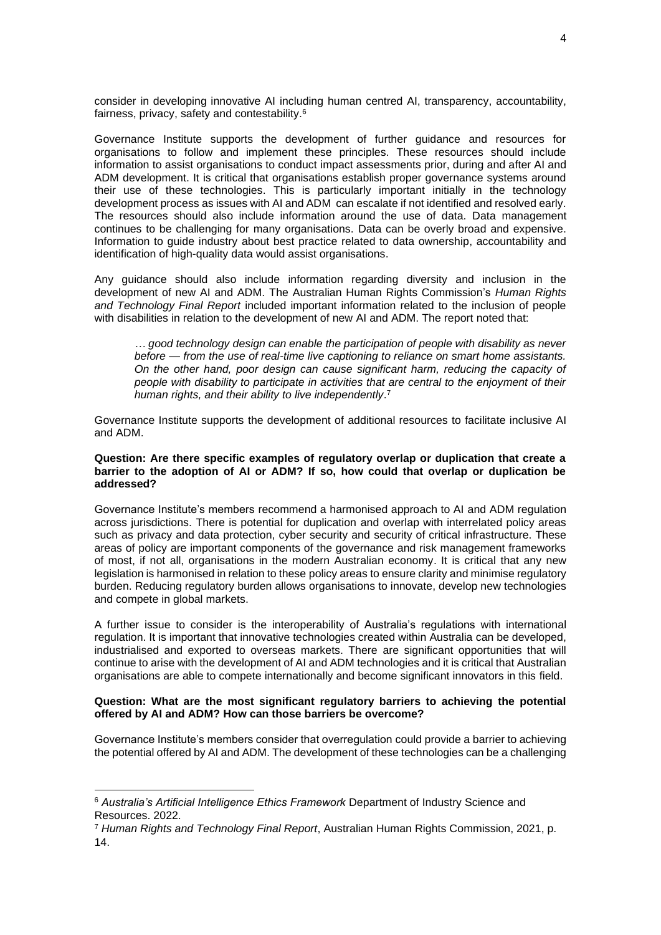consider in developing innovative AI including human centred AI, transparency, accountability, fairness, privacy, safety and contestability.<sup>6</sup>

Governance Institute supports the development of further guidance and resources for organisations to follow and implement these principles. These resources should include information to assist organisations to conduct impact assessments prior, during and after AI and ADM development. It is critical that organisations establish proper governance systems around their use of these technologies. This is particularly important initially in the technology development process as issues with AI and ADM can escalate if not identified and resolved early. The resources should also include information around the use of data. Data management continues to be challenging for many organisations. Data can be overly broad and expensive. Information to guide industry about best practice related to data ownership, accountability and identification of high-quality data would assist organisations.

Any guidance should also include information regarding diversity and inclusion in the development of new AI and ADM. The Australian Human Rights Commission's *Human Rights and Technology Final Report* included important information related to the inclusion of people with disabilities in relation to the development of new AI and ADM. The report noted that:

*… good technology design can enable the participation of people with disability as never before — from the use of real-time live captioning to reliance on smart home assistants. On the other hand, poor design can cause significant harm, reducing the capacity of people with disability to participate in activities that are central to the enjoyment of their human rights, and their ability to live independently*. 7

Governance Institute supports the development of additional resources to facilitate inclusive AI and ADM.

### **Question: Are there specific examples of regulatory overlap or duplication that create a barrier to the adoption of AI or ADM? If so, how could that overlap or duplication be addressed?**

Governance Institute's members recommend a harmonised approach to AI and ADM regulation across jurisdictions. There is potential for duplication and overlap with interrelated policy areas such as privacy and data protection, cyber security and security of critical infrastructure. These areas of policy are important components of the governance and risk management frameworks of most, if not all, organisations in the modern Australian economy. It is critical that any new legislation is harmonised in relation to these policy areas to ensure clarity and minimise regulatory burden. Reducing regulatory burden allows organisations to innovate, develop new technologies and compete in global markets.

A further issue to consider is the interoperability of Australia's regulations with international regulation. It is important that innovative technologies created within Australia can be developed, industrialised and exported to overseas markets. There are significant opportunities that will continue to arise with the development of AI and ADM technologies and it is critical that Australian organisations are able to compete internationally and become significant innovators in this field.

### **Question: What are the most significant regulatory barriers to achieving the potential offered by AI and ADM? How can those barriers be overcome?**

Governance Institute's members consider that overregulation could provide a barrier to achieving the potential offered by AI and ADM. The development of these technologies can be a challenging

<sup>6</sup> *Australia's Artificial Intelligence Ethics Framework* Department of Industry Science and Resources. 2022.

<sup>7</sup> *Human Rights and Technology Final Report*, Australian Human Rights Commission, 2021, p. 14.